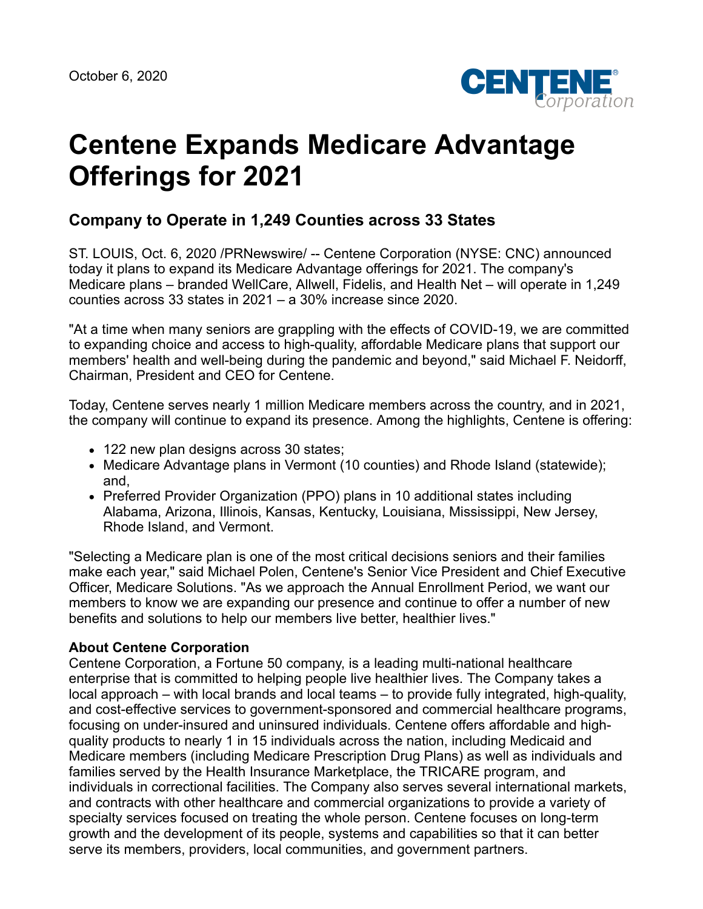

## **Centene Expands Medicare Advantage Offerings for 2021**

## **Company to Operate in 1,249 Counties across 33 States**

ST. LOUIS, Oct. 6, 2020 /PRNewswire/ -- Centene Corporation (NYSE: CNC) announced today it plans to expand its Medicare Advantage offerings for 2021. The company's Medicare plans – branded WellCare, Allwell, Fidelis, and Health Net – will operate in 1,249 counties across 33 states in 2021 – a 30% increase since 2020.

"At a time when many seniors are grappling with the effects of COVID-19, we are committed to expanding choice and access to high-quality, affordable Medicare plans that support our members' health and well-being during the pandemic and beyond," said Michael F. Neidorff, Chairman, President and CEO for Centene.

Today, Centene serves nearly 1 million Medicare members across the country, and in 2021, the company will continue to expand its presence. Among the highlights, Centene is offering:

- 122 new plan designs across 30 states;
- Medicare Advantage plans in Vermont (10 counties) and Rhode Island (statewide); and,
- Preferred Provider Organization (PPO) plans in 10 additional states including Alabama, Arizona, Illinois, Kansas, Kentucky, Louisiana, Mississippi, New Jersey, Rhode Island, and Vermont.

"Selecting a Medicare plan is one of the most critical decisions seniors and their families make each year," said Michael Polen, Centene's Senior Vice President and Chief Executive Officer, Medicare Solutions. "As we approach the Annual Enrollment Period, we want our members to know we are expanding our presence and continue to offer a number of new benefits and solutions to help our members live better, healthier lives."

## **About Centene Corporation**

Centene Corporation, a Fortune 50 company, is a leading multi-national healthcare enterprise that is committed to helping people live healthier lives. The Company takes a local approach – with local brands and local teams – to provide fully integrated, high-quality, and cost-effective services to government-sponsored and commercial healthcare programs, focusing on under-insured and uninsured individuals. Centene offers affordable and highquality products to nearly 1 in 15 individuals across the nation, including Medicaid and Medicare members (including Medicare Prescription Drug Plans) as well as individuals and families served by the Health Insurance Marketplace, the TRICARE program, and individuals in correctional facilities. The Company also serves several international markets, and contracts with other healthcare and commercial organizations to provide a variety of specialty services focused on treating the whole person. Centene focuses on long-term growth and the development of its people, systems and capabilities so that it can better serve its members, providers, local communities, and government partners.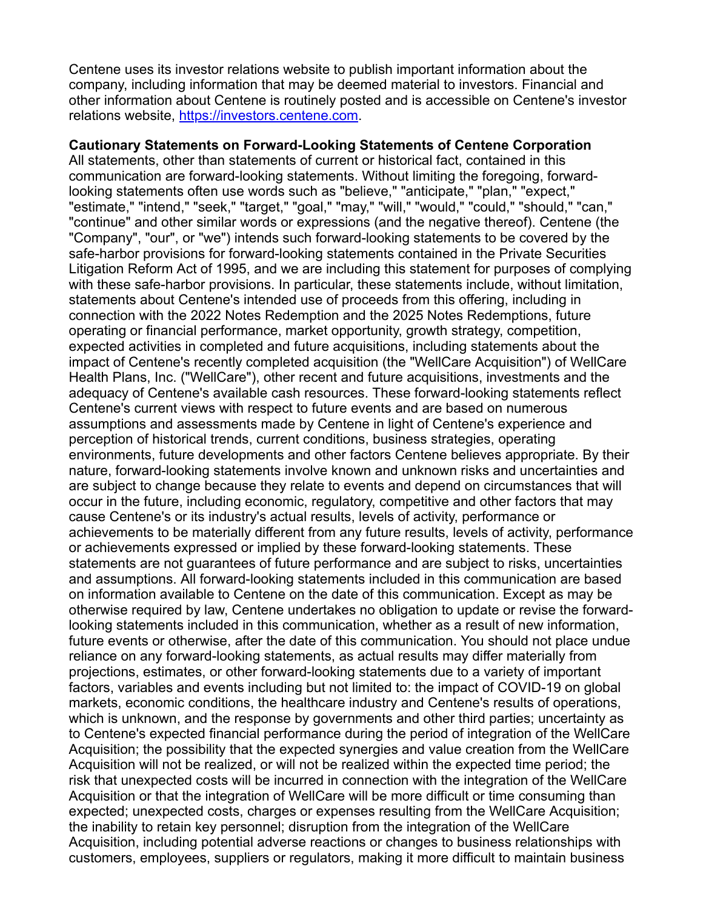Centene uses its investor relations website to publish important information about the company, including information that may be deemed material to investors. Financial and other information about Centene is routinely posted and is accessible on Centene's investor relations website, [https://investors.centene.com](https://investors.centene.com/).

## **Cautionary Statements on Forward-Looking Statements of Centene Corporation**

All statements, other than statements of current or historical fact, contained in this communication are forward-looking statements. Without limiting the foregoing, forwardlooking statements often use words such as "believe," "anticipate," "plan," "expect," "estimate," "intend," "seek," "target," "goal," "may," "will," "would," "could," "should," "can," "continue" and other similar words or expressions (and the negative thereof). Centene (the "Company", "our", or "we") intends such forward-looking statements to be covered by the safe-harbor provisions for forward-looking statements contained in the Private Securities Litigation Reform Act of 1995, and we are including this statement for purposes of complying with these safe-harbor provisions. In particular, these statements include, without limitation, statements about Centene's intended use of proceeds from this offering, including in connection with the 2022 Notes Redemption and the 2025 Notes Redemptions, future operating or financial performance, market opportunity, growth strategy, competition, expected activities in completed and future acquisitions, including statements about the impact of Centene's recently completed acquisition (the "WellCare Acquisition") of WellCare Health Plans, Inc. ("WellCare"), other recent and future acquisitions, investments and the adequacy of Centene's available cash resources. These forward-looking statements reflect Centene's current views with respect to future events and are based on numerous assumptions and assessments made by Centene in light of Centene's experience and perception of historical trends, current conditions, business strategies, operating environments, future developments and other factors Centene believes appropriate. By their nature, forward-looking statements involve known and unknown risks and uncertainties and are subject to change because they relate to events and depend on circumstances that will occur in the future, including economic, regulatory, competitive and other factors that may cause Centene's or its industry's actual results, levels of activity, performance or achievements to be materially different from any future results, levels of activity, performance or achievements expressed or implied by these forward-looking statements. These statements are not guarantees of future performance and are subject to risks, uncertainties and assumptions. All forward-looking statements included in this communication are based on information available to Centene on the date of this communication. Except as may be otherwise required by law, Centene undertakes no obligation to update or revise the forwardlooking statements included in this communication, whether as a result of new information, future events or otherwise, after the date of this communication. You should not place undue reliance on any forward-looking statements, as actual results may differ materially from projections, estimates, or other forward-looking statements due to a variety of important factors, variables and events including but not limited to: the impact of COVID-19 on global markets, economic conditions, the healthcare industry and Centene's results of operations, which is unknown, and the response by governments and other third parties; uncertainty as to Centene's expected financial performance during the period of integration of the WellCare Acquisition; the possibility that the expected synergies and value creation from the WellCare Acquisition will not be realized, or will not be realized within the expected time period; the risk that unexpected costs will be incurred in connection with the integration of the WellCare Acquisition or that the integration of WellCare will be more difficult or time consuming than expected; unexpected costs, charges or expenses resulting from the WellCare Acquisition; the inability to retain key personnel; disruption from the integration of the WellCare Acquisition, including potential adverse reactions or changes to business relationships with customers, employees, suppliers or regulators, making it more difficult to maintain business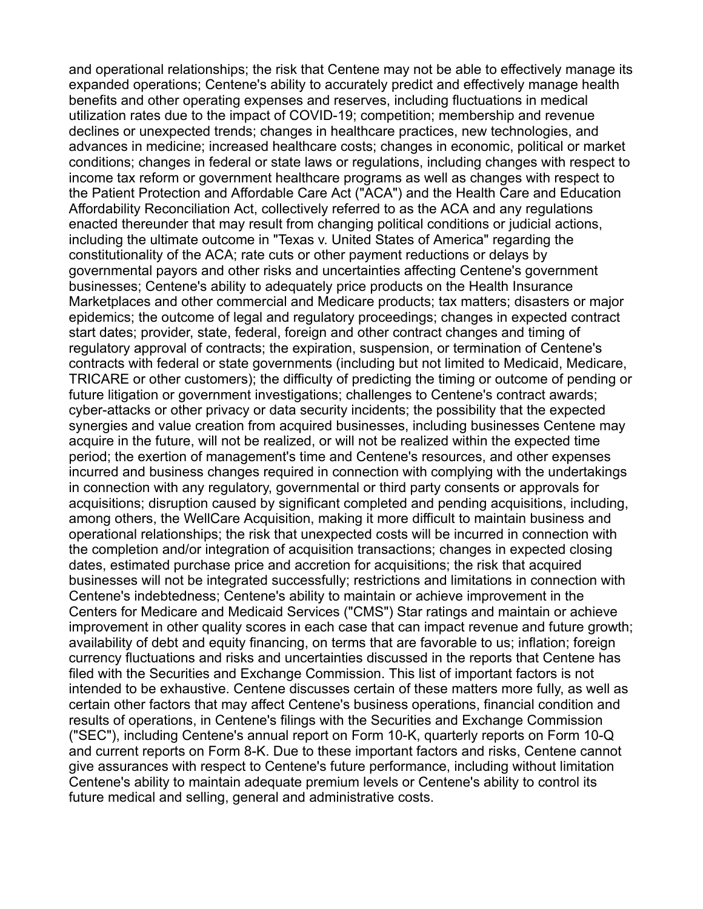and operational relationships; the risk that Centene may not be able to effectively manage its expanded operations; Centene's ability to accurately predict and effectively manage health benefits and other operating expenses and reserves, including fluctuations in medical utilization rates due to the impact of COVID-19; competition; membership and revenue declines or unexpected trends; changes in healthcare practices, new technologies, and advances in medicine; increased healthcare costs; changes in economic, political or market conditions; changes in federal or state laws or regulations, including changes with respect to income tax reform or government healthcare programs as well as changes with respect to the Patient Protection and Affordable Care Act ("ACA") and the Health Care and Education Affordability Reconciliation Act, collectively referred to as the ACA and any regulations enacted thereunder that may result from changing political conditions or judicial actions, including the ultimate outcome in "Texas v. United States of America" regarding the constitutionality of the ACA; rate cuts or other payment reductions or delays by governmental payors and other risks and uncertainties affecting Centene's government businesses; Centene's ability to adequately price products on the Health Insurance Marketplaces and other commercial and Medicare products; tax matters; disasters or major epidemics; the outcome of legal and regulatory proceedings; changes in expected contract start dates; provider, state, federal, foreign and other contract changes and timing of regulatory approval of contracts; the expiration, suspension, or termination of Centene's contracts with federal or state governments (including but not limited to Medicaid, Medicare, TRICARE or other customers); the difficulty of predicting the timing or outcome of pending or future litigation or government investigations; challenges to Centene's contract awards; cyber-attacks or other privacy or data security incidents; the possibility that the expected synergies and value creation from acquired businesses, including businesses Centene may acquire in the future, will not be realized, or will not be realized within the expected time period; the exertion of management's time and Centene's resources, and other expenses incurred and business changes required in connection with complying with the undertakings in connection with any regulatory, governmental or third party consents or approvals for acquisitions; disruption caused by significant completed and pending acquisitions, including, among others, the WellCare Acquisition, making it more difficult to maintain business and operational relationships; the risk that unexpected costs will be incurred in connection with the completion and/or integration of acquisition transactions; changes in expected closing dates, estimated purchase price and accretion for acquisitions; the risk that acquired businesses will not be integrated successfully; restrictions and limitations in connection with Centene's indebtedness; Centene's ability to maintain or achieve improvement in the Centers for Medicare and Medicaid Services ("CMS") Star ratings and maintain or achieve improvement in other quality scores in each case that can impact revenue and future growth; availability of debt and equity financing, on terms that are favorable to us; inflation; foreign currency fluctuations and risks and uncertainties discussed in the reports that Centene has filed with the Securities and Exchange Commission. This list of important factors is not intended to be exhaustive. Centene discusses certain of these matters more fully, as well as certain other factors that may affect Centene's business operations, financial condition and results of operations, in Centene's filings with the Securities and Exchange Commission ("SEC"), including Centene's annual report on Form 10-K, quarterly reports on Form 10-Q and current reports on Form 8-K. Due to these important factors and risks, Centene cannot give assurances with respect to Centene's future performance, including without limitation Centene's ability to maintain adequate premium levels or Centene's ability to control its future medical and selling, general and administrative costs.